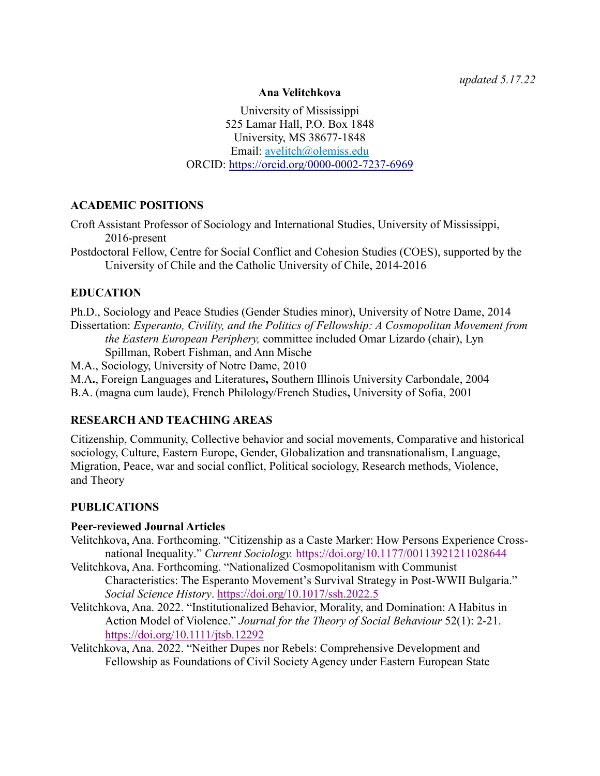*updated 5.17.22*

#### **Ana Velitchkova**

University of Mississippi 525 Lamar Hall, P.O. Box 1848 University, MS 38677-1848 Email: [avelitch@olemiss.edu](mailto:avelitch@olemiss.edu) ORCID:<https://orcid.org/0000-0002-7237-6969>

# **ACADEMIC POSITIONS**

Croft Assistant Professor of Sociology and International Studies, University of Mississippi, 2016-present

Postdoctoral Fellow, Centre for Social Conflict and Cohesion Studies (COES), supported by the University of Chile and the Catholic University of Chile, 2014-2016

# **EDUCATION**

Ph.D., Sociology and Peace Studies (Gender Studies minor), University of Notre Dame, 2014 Dissertation: *Esperanto, Civility, and the Politics of Fellowship: A Cosmopolitan Movement from the Eastern European Periphery,* committee included Omar Lizardo (chair), Lyn Spillman, Robert Fishman, and Ann Mische

M.A., Sociology, University of Notre Dame, 2010

M.A**.**, Foreign Languages and Literatures**,** Southern Illinois University Carbondale, 2004

B.A. (magna cum laude), French Philology/French Studies**,** University of Sofia, 2001

# **RESEARCH AND TEACHING AREAS**

Citizenship, Community, Collective behavior and social movements, Comparative and historical sociology, Culture, Eastern Europe, Gender, Globalization and transnationalism, Language, Migration, Peace, war and social conflict, Political sociology, Research methods, Violence, and Theory

# **PUBLICATIONS**

#### **Peer-reviewed Journal Articles**

- Velitchkova, Ana. Forthcoming. "Citizenship as a Caste Marker: How Persons Experience Crossnational Inequality." *Current Sociology.* <https://doi.org/10.1177/00113921211028644>
- Velitchkova, Ana. Forthcoming. "Nationalized Cosmopolitanism with Communist Characteristics: The Esperanto Movement's Survival Strategy in Post-WWII Bulgaria." *Social Science History*.<https://doi.org/10.1017/ssh.2022.5>
- Velitchkova, Ana. 2022. "Institutionalized Behavior, Morality, and Domination: A Habitus in Action Model of Violence." *Journal for the Theory of Social Behaviour* 52(1): 2-21. <https://doi.org/10.1111/jtsb.12292>

Velitchkova, Ana. 2022. "Neither Dupes nor Rebels: Comprehensive Development and Fellowship as Foundations of Civil Society Agency under Eastern European State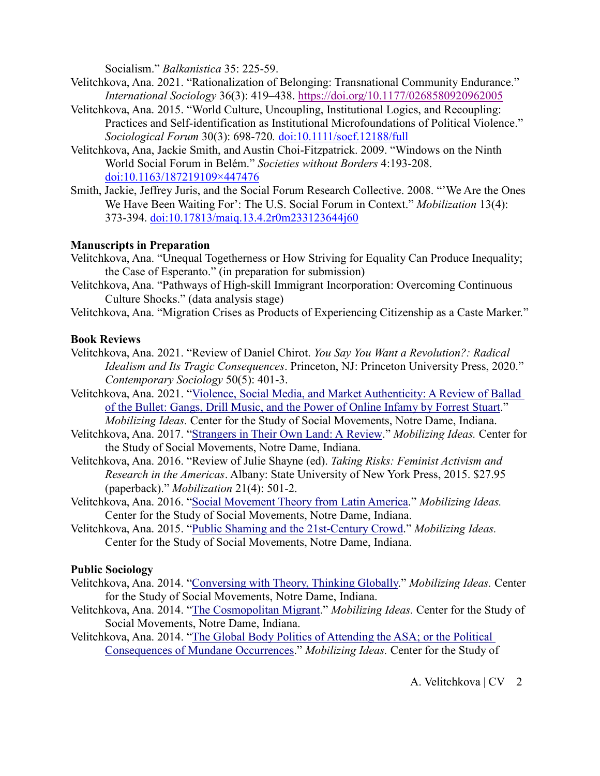Socialism." *Balkanistica* 35: 225-59.

- Velitchkova, Ana. 2021. "Rationalization of Belonging: Transnational Community Endurance." *International Sociology* 36(3): 419–438. <https://doi.org/10.1177/0268580920962005>
- Velitchkova, Ana. 2015. "World Culture, Uncoupling, Institutional Logics, and Recoupling: Practices and Self-identification as Institutional Microfoundations of Political Violence." *Sociological Forum* 30(3): 698-720*.* [doi:10.1111/socf.12188/full](http://onlinelibrary.wiley.com/doi/10.1111/socf.12188/full)
- Velitchkova, Ana, Jackie Smith, and Austin Choi-Fitzpatrick. 2009. "Windows on the Ninth World Social Forum in Belém." *Societies without Borders* 4:193-208. [doi:10.1163/187219109×447476](http://booksandjournals.brillonline.com/content/journals/10.1163/187219109x447476)
- Smith, Jackie, Jeffrey Juris, and the Social Forum Research Collective. 2008. "'We Are the Ones We Have Been Waiting For': The U.S. Social Forum in Context." *Mobilization* 13(4): 373-394. [doi:10.17813/maiq.13.4.2r0m233123644j60](http://mobilizationjournal.org/doi/abs/10.17813/maiq.13.4.2r0m233123644j60?code=hjdm-site)

### **Manuscripts in Preparation**

- Velitchkova, Ana. "Unequal Togetherness or How Striving for Equality Can Produce Inequality; the Case of Esperanto." (in preparation for submission)
- Velitchkova, Ana. "Pathways of High-skill Immigrant Incorporation: Overcoming Continuous Culture Shocks." (data analysis stage)
- Velitchkova, Ana. "Migration Crises as Products of Experiencing Citizenship as a Caste Marker."

### **Book Reviews**

- Velitchkova, Ana. 2021. "Review of Daniel Chirot. *You Say You Want a Revolution?: Radical Idealism and Its Tragic Consequences*. Princeton, NJ: Princeton University Press, 2020." *Contemporary Sociology* 50(5): 401-3.
- Velitchkova, Ana. 2021. ["Violence, Social Media, and Market Authenticity: A Review of Ballad](https://mobilizingideas.wordpress.com/2021/07/05/violence-social-media-and-market-authenticity-a-review-of-ballad-of-the-bullet-gangs-drill-music-and-the-power-of-online-infamy-by-forrest-stuart/)  [of the Bullet: Gangs, Drill Music, and the Power of Online Infamy by Forrest](https://mobilizingideas.wordpress.com/2021/07/05/violence-social-media-and-market-authenticity-a-review-of-ballad-of-the-bullet-gangs-drill-music-and-the-power-of-online-infamy-by-forrest-stuart/) Stuart." *Mobilizing Ideas.* Center for the Study of Social Movements, Notre Dame, Indiana.
- Velitchkova, Ana. 2017. ["Strangers in Their Own Land: A](https://mobilizingideas.wordpress.com/2017/06/30/strangers-in-their-own-land-a-review/) Review." *Mobilizing Ideas.* Center for the Study of Social Movements, Notre Dame, Indiana.
- Velitchkova, Ana. 2016. "Review of Julie Shayne (ed). *Taking Risks: Feminist Activism and Research in the Americas*. Albany: State University of New York Press, 2015. \$27.95 (paperback)." *Mobilization* 21(4): 501-2.
- Velitchkova, Ana. 2016. ["Social Movement Theory from Latin America.](https://mobilizingideas.wordpress.com/2016/06/10/social-movement-theory-from-latin-america/)" *Mobilizing Ideas.* Center for the Study of Social Movements, Notre Dame, Indiana.
- Velitchkova, Ana. 2015. ["Public Shaming and the 21st-Century](http://mobilizingideas.wordpress.com/2015/07/20/public-shaming-and-the-21st-century-crowd) Crowd." *Mobilizing Ideas.* Center for the Study of Social Movements, Notre Dame, Indiana.

#### **Public Sociology**

- Velitchkova, Ana. 2014. ["Conversing with Theory, Thinking](http://mobilizingideas.wordpress.com/2014/10/13/conversing-with-theory-thinking-globally) Globally." *Mobilizing Ideas.* Center for the Study of Social Movements, Notre Dame, Indiana.
- Velitchkova, Ana. 2014. ["The Cosmopolitan Migrant.](http://mobilizingideas.wordpress.com/2014/09/10/the-cosmopolitan-migrant)" *Mobilizing Ideas.* Center for the Study of Social Movements, Notre Dame, Indiana.
- Velitchkova, Ana. 2014. ["The Global Body Politics of Attending the ASA; or the Political](http://mobilizingideas.wordpress.com/2014/08/22/the-global-body-politics-of-attending-the-asa-or-the-political-consequences-of-mundane-occurrences)  [Consequences of Mundane](http://mobilizingideas.wordpress.com/2014/08/22/the-global-body-politics-of-attending-the-asa-or-the-political-consequences-of-mundane-occurrences) Occurrences." *Mobilizing Ideas.* Center for the Study of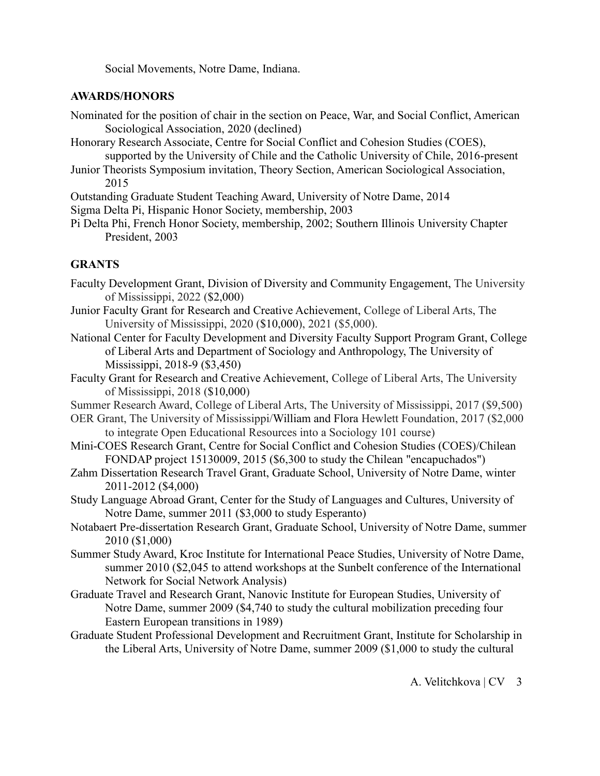Social Movements, Notre Dame, Indiana.

### **AWARDS/HONORS**

- Nominated for the position of chair in the section on Peace, War, and Social Conflict, American Sociological Association, 2020 (declined)
- Honorary Research Associate, Centre for Social Conflict and Cohesion Studies (COES), supported by the University of Chile and the Catholic University of Chile, 2016-present
- Junior Theorists Symposium invitation, Theory Section, American Sociological Association, 2015
- Outstanding Graduate Student Teaching Award, University of Notre Dame, 2014
- Sigma Delta Pi, Hispanic Honor Society, membership, 2003
- Pi Delta Phi, French Honor Society, membership, 2002; Southern Illinois University Chapter President, 2003

### **GRANTS**

- Faculty Development Grant, Division of Diversity and Community Engagement, The University of Mississippi, 2022 (\$2,000)
- Junior Faculty Grant for Research and Creative Achievement, College of Liberal Arts, The University of Mississippi, 2020 (\$10,000), 2021 (\$5,000).
- National Center for Faculty Development and Diversity Faculty Support Program Grant, College of Liberal Arts and Department of Sociology and Anthropology, The University of Mississippi, 2018-9 (\$3,450)
- Faculty Grant for Research and Creative Achievement, College of Liberal Arts, The University of Mississippi, 2018 (\$10,000)
- Summer Research Award, College of Liberal Arts, The University of Mississippi, 2017 (\$9,500)
- OER Grant, The University of Mississippi/William and Flora Hewlett Foundation, 2017 (\$2,000 to integrate Open Educational Resources into a Sociology 101 course)
- Mini-COES Research Grant, Centre for Social Conflict and Cohesion Studies (COES)/Chilean FONDAP project 15130009, 2015 (\$6,300 to study the Chilean "encapuchados")
- Zahm Dissertation Research Travel Grant, Graduate School, University of Notre Dame, winter 2011-2012 (\$4,000)
- Study Language Abroad Grant, Center for the Study of Languages and Cultures, University of Notre Dame, summer 2011 (\$3,000 to study Esperanto)
- Notabaert Pre-dissertation Research Grant, Graduate School, University of Notre Dame, summer 2010 (\$1,000)
- Summer Study Award, Kroc Institute for International Peace Studies, University of Notre Dame, summer 2010 (\$2,045 to attend workshops at the Sunbelt conference of the International Network for Social Network Analysis)
- Graduate Travel and Research Grant, Nanovic Institute for European Studies, University of Notre Dame, summer 2009 (\$4,740 to study the cultural mobilization preceding four Eastern European transitions in 1989)
- Graduate Student Professional Development and Recruitment Grant, Institute for Scholarship in the Liberal Arts, University of Notre Dame, summer 2009 (\$1,000 to study the cultural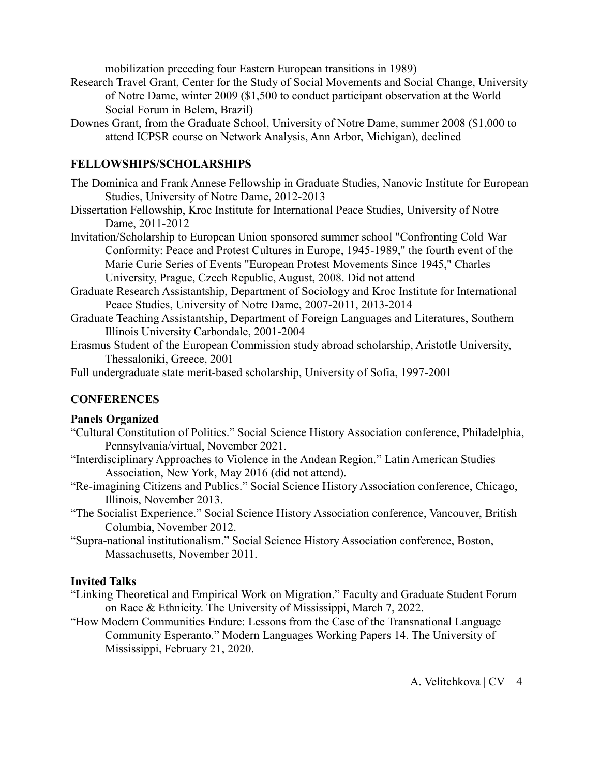mobilization preceding four Eastern European transitions in 1989)

- Research Travel Grant, Center for the Study of Social Movements and Social Change, University of Notre Dame, winter 2009 (\$1,500 to conduct participant observation at the World Social Forum in Belem, Brazil)
- Downes Grant, from the Graduate School, University of Notre Dame, summer 2008 (\$1,000 to attend ICPSR course on Network Analysis, Ann Arbor, Michigan), declined

### **FELLOWSHIPS/SCHOLARSHIPS**

The Dominica and Frank Annese Fellowship in Graduate Studies, Nanovic Institute for European Studies, University of Notre Dame, 2012-2013

- Dissertation Fellowship, Kroc Institute for International Peace Studies, University of Notre Dame, 2011-2012
- Invitation/Scholarship to European Union sponsored summer school "Confronting Cold War Conformity: Peace and Protest Cultures in Europe, 1945-1989," the fourth event of the Marie Curie Series of Events "European Protest Movements Since 1945," Charles University, Prague, Czech Republic, August, 2008. Did not attend
- Graduate Research Assistantship, Department of Sociology and Kroc Institute for International Peace Studies, University of Notre Dame, 2007-2011, 2013-2014
- Graduate Teaching Assistantship, Department of Foreign Languages and Literatures, Southern Illinois University Carbondale, 2001-2004
- Erasmus Student of the European Commission study abroad scholarship, Aristotle University, Thessaloniki, Greece, 2001

Full undergraduate state merit-based scholarship, University of Sofia, 1997-2001

#### **CONFERENCES**

#### **Panels Organized**

- "Cultural Constitution of Politics." Social Science History Association conference, Philadelphia, Pennsylvania/virtual, November 2021.
- "Interdisciplinary Approaches to Violence in the Andean Region." Latin American Studies Association, New York, May 2016 (did not attend).
- "Re-imagining Citizens and Publics." Social Science History Association conference, Chicago, Illinois, November 2013.
- "The Socialist Experience." Social Science History Association conference, Vancouver, British Columbia, November 2012.
- "Supra-national institutionalism." Social Science History Association conference, Boston, Massachusetts, November 2011.

#### **Invited Talks**

- "Linking Theoretical and Empirical Work on Migration." Faculty and Graduate Student Forum on Race & Ethnicity. The University of Mississippi, March 7, 2022.
- "How Modern Communities Endure: Lessons from the Case of the Transnational Language Community Esperanto." Modern Languages Working Papers 14. The University of Mississippi, February 21, 2020.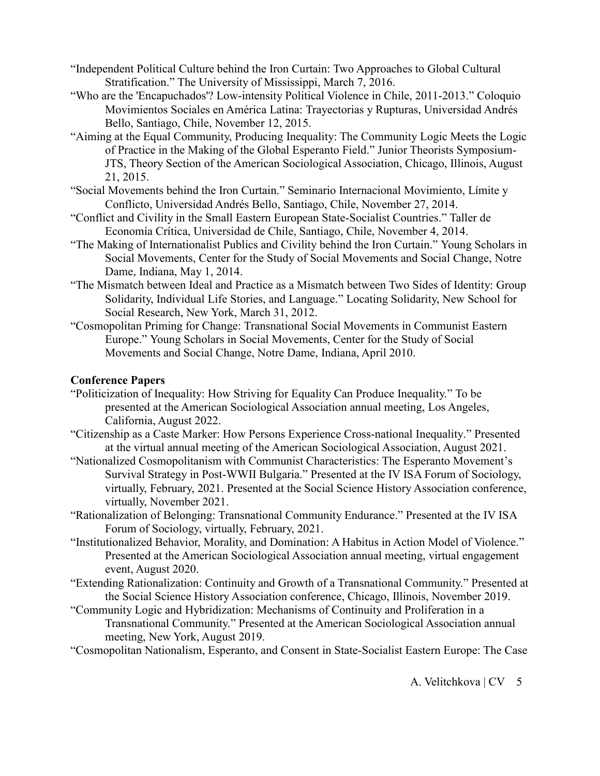"Independent Political Culture behind the Iron Curtain: Two Approaches to Global Cultural Stratification." The University of Mississippi, March 7, 2016.

- "Who are the 'Encapuchados'? Low-intensity Political Violence in Chile, 2011-2013." Coloquio Movimientos Sociales en América Latina: Trayectorias y Rupturas, Universidad Andrés Bello, Santiago, Chile, November 12, 2015.
- "Aiming at the Equal Community, Producing Inequality: The Community Logic Meets the Logic of Practice in the Making of the Global Esperanto Field." Junior Theorists Symposium-JTS, Theory Section of the American Sociological Association, Chicago, Illinois, August 21, 2015.
- "Social Movements behind the Iron Curtain." Seminario Internacional Movimiento, Límite y Conflicto, Universidad Andrés Bello, Santiago, Chile, November 27, 2014.
- "Conflict and Civility in the Small Eastern European State-Socialist Countries." Taller de Economía Crítica, Universidad de Chile, Santiago, Chile, November 4, 2014.
- "The Making of Internationalist Publics and Civility behind the Iron Curtain." Young Scholars in Social Movements, Center for the Study of Social Movements and Social Change, Notre Dame, Indiana, May 1, 2014.
- "The Mismatch between Ideal and Practice as a Mismatch between Two Sides of Identity: Group Solidarity, Individual Life Stories, and Language." Locating Solidarity, New School for Social Research, New York, March 31, 2012.
- "Cosmopolitan Priming for Change: Transnational Social Movements in Communist Eastern Europe." Young Scholars in Social Movements, Center for the Study of Social Movements and Social Change, Notre Dame, Indiana, April 2010.

# **Conference Papers**

- "Politicization of Inequality: How Striving for Equality Can Produce Inequality." To be presented at the American Sociological Association annual meeting, Los Angeles, California, August 2022.
- "Citizenship as a Caste Marker: How Persons Experience Cross-national Inequality." Presented at the virtual annual meeting of the American Sociological Association, August 2021.
- "Nationalized Cosmopolitanism with Communist Characteristics: The Esperanto Movement's Survival Strategy in Post-WWII Bulgaria." Presented at the IV ISA Forum of Sociology, virtually, February, 2021. Presented at the Social Science History Association conference, virtually, November 2021.
- "Rationalization of Belonging: Transnational Community Endurance." Presented at the IV ISA Forum of Sociology, virtually, February, 2021.
- "Institutionalized Behavior, Morality, and Domination: A Habitus in Action Model of Violence." Presented at the American Sociological Association annual meeting, virtual engagement event, August 2020.
- "Extending Rationalization: Continuity and Growth of a Transnational Community." Presented at the Social Science History Association conference, Chicago, Illinois, November 2019.
- "Community Logic and Hybridization: Mechanisms of Continuity and Proliferation in a Transnational Community." Presented at the American Sociological Association annual meeting, New York, August 2019.
- "Cosmopolitan Nationalism, Esperanto, and Consent in State-Socialist Eastern Europe: The Case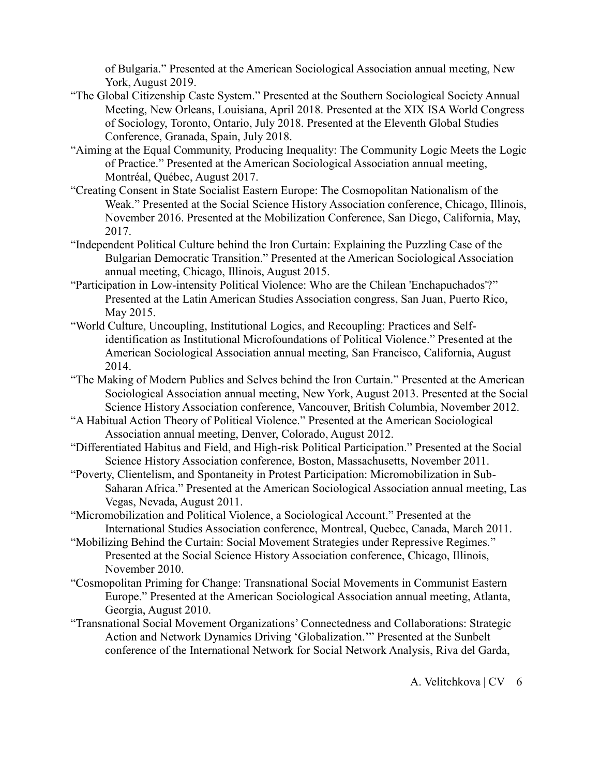of Bulgaria." Presented at the American Sociological Association annual meeting, New York, August 2019.

- "The Global Citizenship Caste System." Presented at the Southern Sociological Society Annual Meeting, New Orleans, Louisiana, April 2018. Presented at the XIX ISA World Congress of Sociology, Toronto, Ontario, July 2018. Presented at the Eleventh Global Studies Conference, Granada, Spain, July 2018.
- "Aiming at the Equal Community, Producing Inequality: The Community Logic Meets the Logic of Practice." Presented at the American Sociological Association annual meeting, Montréal, Québec, August 2017.
- "Creating Consent in State Socialist Eastern Europe: The Cosmopolitan Nationalism of the Weak." Presented at the Social Science History Association conference, Chicago, Illinois, November 2016. Presented at the Mobilization Conference, San Diego, California, May, 2017.
- "Independent Political Culture behind the Iron Curtain: Explaining the Puzzling Case of the Bulgarian Democratic Transition." Presented at the American Sociological Association annual meeting, Chicago, Illinois, August 2015.
- "Participation in Low-intensity Political Violence: Who are the Chilean 'Enchapuchados'?" Presented at the Latin American Studies Association congress, San Juan, Puerto Rico, May 2015.
- "World Culture, Uncoupling, Institutional Logics, and Recoupling: Practices and Selfidentification as Institutional Microfoundations of Political Violence." Presented at the American Sociological Association annual meeting, San Francisco, California, August 2014.
- "The Making of Modern Publics and Selves behind the Iron Curtain." Presented at the American Sociological Association annual meeting, New York, August 2013. Presented at the Social Science History Association conference, Vancouver, British Columbia, November 2012.
- "A Habitual Action Theory of Political Violence." Presented at the American Sociological Association annual meeting, Denver, Colorado, August 2012.
- "Differentiated Habitus and Field, and High-risk Political Participation." Presented at the Social Science History Association conference, Boston, Massachusetts, November 2011.
- "Poverty, Clientelism, and Spontaneity in Protest Participation: Micromobilization in Sub-Saharan Africa." Presented at the American Sociological Association annual meeting, Las Vegas, Nevada, August 2011.
- "Micromobilization and Political Violence, a Sociological Account." Presented at the International Studies Association conference, Montreal, Quebec, Canada, March 2011.
- "Mobilizing Behind the Curtain: Social Movement Strategies under Repressive Regimes." Presented at the Social Science History Association conference, Chicago, Illinois, November 2010.
- "Cosmopolitan Priming for Change: Transnational Social Movements in Communist Eastern Europe." Presented at the American Sociological Association annual meeting, Atlanta, Georgia, August 2010.
- "Transnational Social Movement Organizations' Connectedness and Collaborations: Strategic Action and Network Dynamics Driving 'Globalization.'" Presented at the Sunbelt conference of the International Network for Social Network Analysis, Riva del Garda,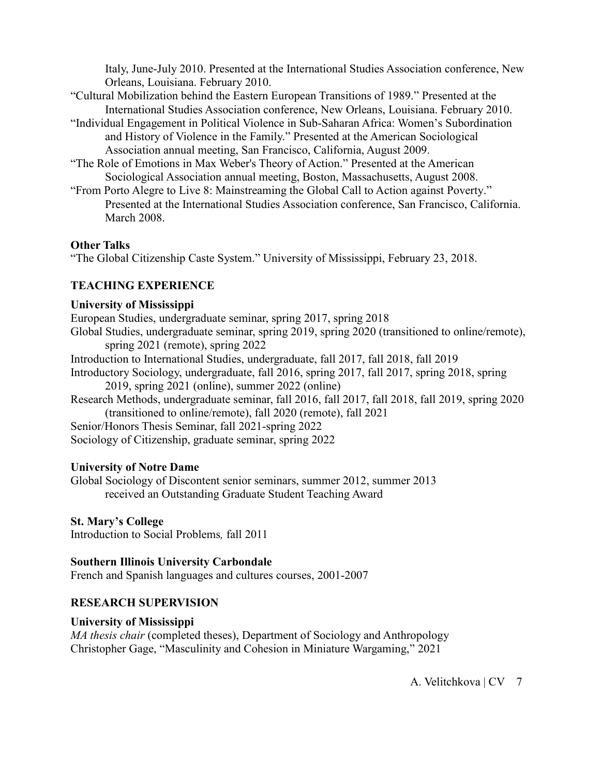Italy, June-July 2010. Presented at the International Studies Association conference, New Orleans, Louisiana. February 2010.

- "Cultural Mobilization behind the Eastern European Transitions of 1989." Presented at the International Studies Association conference, New Orleans, Louisiana. February 2010.
- "Individual Engagement in Political Violence in Sub-Saharan Africa: Women's Subordination and History of Violence in the Family." Presented at the American Sociological Association annual meeting, San Francisco, California, August 2009.
- "The Role of Emotions in Max Weber's Theory of Action." Presented at the American Sociological Association annual meeting, Boston, Massachusetts, August 2008.
- "From Porto Alegre to Live 8: Mainstreaming the Global Call to Action against Poverty." Presented at the International Studies Association conference, San Francisco, California. March 2008.

### **Other Talks**

"The Global Citizenship Caste System." University of Mississippi, February 23, 2018.

# **TEACHING EXPERIENCE**

#### **University of Mississippi**

European Studies, undergraduate seminar, spring 2017, spring 2018 Global Studies, undergraduate seminar, spring 2019, spring 2020 (transitioned to online/remote), spring 2021 (remote), spring 2022 Introduction to International Studies, undergraduate, fall 2017, fall 2018, fall 2019 Introductory Sociology, undergraduate, fall 2016, spring 2017, fall 2017, spring 2018, spring 2019, spring 2021 (online), summer 2022 (online) Research Methods, undergraduate seminar, fall 2016, fall 2017, fall 2018, fall 2019, spring 2020

(transitioned to online/remote), fall 2020 (remote), fall 2021 Senior/Honors Thesis Seminar, fall 2021-spring 2022

Sociology of Citizenship, graduate seminar, spring 2022

#### **University of Notre Dame**

Global Sociology of Discontent senior seminars, summer 2012, summer 2013 received an Outstanding Graduate Student Teaching Award

**St. Mary's College**

Introduction to Social Problems*,* fall 2011

# **Southern Illinois University Carbondale**

French and Spanish languages and cultures courses, 2001-2007

# **RESEARCH SUPERVISION**

#### **University of Mississippi**

*MA thesis chair* (completed theses), Department of Sociology and Anthropology Christopher Gage, "Masculinity and Cohesion in Miniature Wargaming," 2021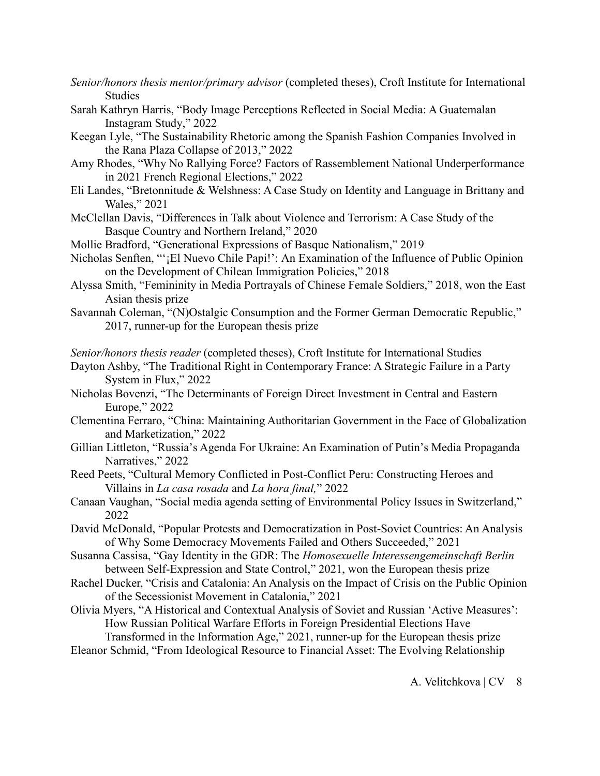- *Senior/honors thesis mentor/primary advisor* (completed theses), Croft Institute for International Studies
- Sarah Kathryn Harris, "Body Image Perceptions Reflected in Social Media: A Guatemalan Instagram Study," 2022
- Keegan Lyle, "The Sustainability Rhetoric among the Spanish Fashion Companies Involved in the Rana Plaza Collapse of 2013," 2022
- Amy Rhodes, "Why No Rallying Force? Factors of Rassemblement National Underperformance in 2021 French Regional Elections," 2022
- Eli Landes, "Bretonnitude & Welshness: A Case Study on Identity and Language in Brittany and Wales," 2021
- McClellan Davis, "Differences in Talk about Violence and Terrorism: A Case Study of the Basque Country and Northern Ireland," 2020
- Mollie Bradford, "Generational Expressions of Basque Nationalism," 2019
- Nicholas Senften, "'¡El Nuevo Chile Papi!': An Examination of the Influence of Public Opinion on the Development of Chilean Immigration Policies," 2018
- Alyssa Smith, "Femininity in Media Portrayals of Chinese Female Soldiers," 2018, won the East Asian thesis prize
- Savannah Coleman, "(N)Ostalgic Consumption and the Former German Democratic Republic," 2017, runner-up for the European thesis prize

*Senior/honors thesis reader* (completed theses), Croft Institute for International Studies

- Dayton Ashby, "The Traditional Right in Contemporary France: A Strategic Failure in a Party System in Flux," 2022
- Nicholas Bovenzi, "The Determinants of Foreign Direct Investment in Central and Eastern Europe," 2022
- Clementina Ferraro, "China: Maintaining Authoritarian Government in the Face of Globalization and Marketization," 2022
- Gillian Littleton, "Russia's Agenda For Ukraine: An Examination of Putin's Media Propaganda Narratives," 2022
- Reed Peets, "Cultural Memory Conflicted in Post-Conflict Peru: Constructing Heroes and Villains in *La casa rosada* and *La hora final,*" 2022
- Canaan Vaughan, "Social media agenda setting of Environmental Policy Issues in Switzerland," 2022
- David McDonald, "Popular Protests and Democratization in Post-Soviet Countries: An Analysis of Why Some Democracy Movements Failed and Others Succeeded," 2021
- Susanna Cassisa, "Gay Identity in the GDR: The *Homosexuelle Interessengemeinschaft Berlin* between Self-Expression and State Control," 2021, won the European thesis prize
- Rachel Ducker, "Crisis and Catalonia: An Analysis on the Impact of Crisis on the Public Opinion of the Secessionist Movement in Catalonia," 2021
- Olivia Myers, "A Historical and Contextual Analysis of Soviet and Russian 'Active Measures': How Russian Political Warfare Efforts in Foreign Presidential Elections Have Transformed in the Information Age," 2021, runner-up for the European thesis prize

Eleanor Schmid, "From Ideological Resource to Financial Asset: The Evolving Relationship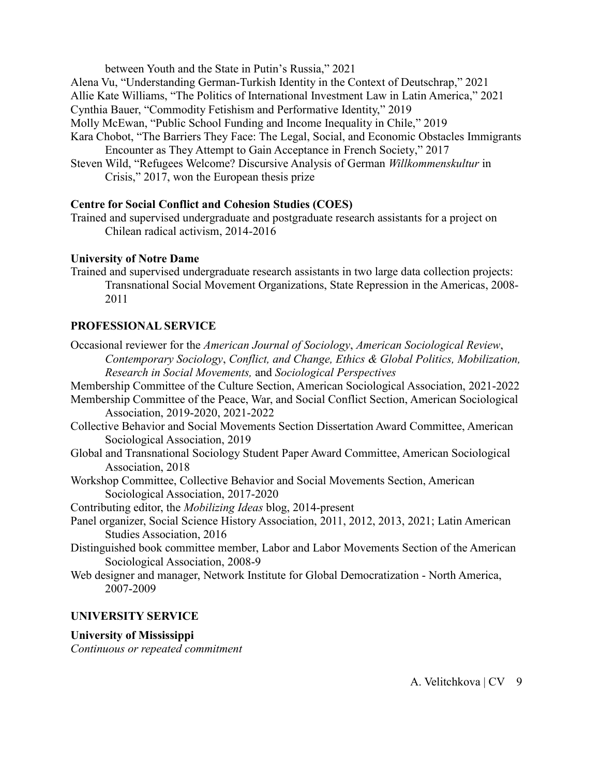between Youth and the State in Putin's Russia," 2021

Alena Vu, "Understanding German-Turkish Identity in the Context of Deutschrap," 2021

Allie Kate Williams, "The Politics of International Investment Law in Latin America," 2021

Cynthia Bauer, "Commodity Fetishism and Performative Identity," 2019

Molly McEwan, "Public School Funding and Income Inequality in Chile," 2019

- Kara Chobot, "The Barriers They Face: The Legal, Social, and Economic Obstacles Immigrants Encounter as They Attempt to Gain Acceptance in French Society," 2017
- Steven Wild, "Refugees Welcome? Discursive Analysis of German *Willkommenskultur* in Crisis," 2017, won the European thesis prize

# **Centre for Social Conflict and Cohesion Studies (COES)**

Trained and supervised undergraduate and postgraduate research assistants for a project on Chilean radical activism, 2014-2016

# **University of Notre Dame**

Trained and supervised undergraduate research assistants in two large data collection projects: Transnational Social Movement Organizations, State Repression in the Americas, 2008- 2011

# **PROFESSIONAL SERVICE**

- Occasional reviewer for the *American Journal of Sociology*, *American Sociological Review*, *Contemporary Sociology*, *Conflict, and Change, Ethics & Global Politics, Mobilization, Research in Social Movements,* and *Sociological Perspectives* Membership Committee of the Culture Section, American Sociological Association, 2021-2022 Membership Committee of the Peace, War, and Social Conflict Section, American Sociological Association, 2019-2020, 2021-2022 Collective Behavior and Social Movements Section Dissertation Award Committee, American Sociological Association, 2019 Global and Transnational Sociology Student Paper Award Committee, American Sociological Association, 2018 Workshop Committee, Collective Behavior and Social Movements Section, American Sociological Association, 2017-2020 Contributing editor, the *Mobilizing Ideas* blog, 2014-present Panel organizer, Social Science History Association, 2011, 2012, 2013, 2021; Latin American Studies Association, 2016 Distinguished book committee member, Labor and Labor Movements Section of the American Sociological Association, 2008-9
- Web designer and manager, Network Institute for Global Democratization North America, 2007-2009

# **UNIVERSITY SERVICE**

# **University of Mississippi**

*Continuous or repeated commitment*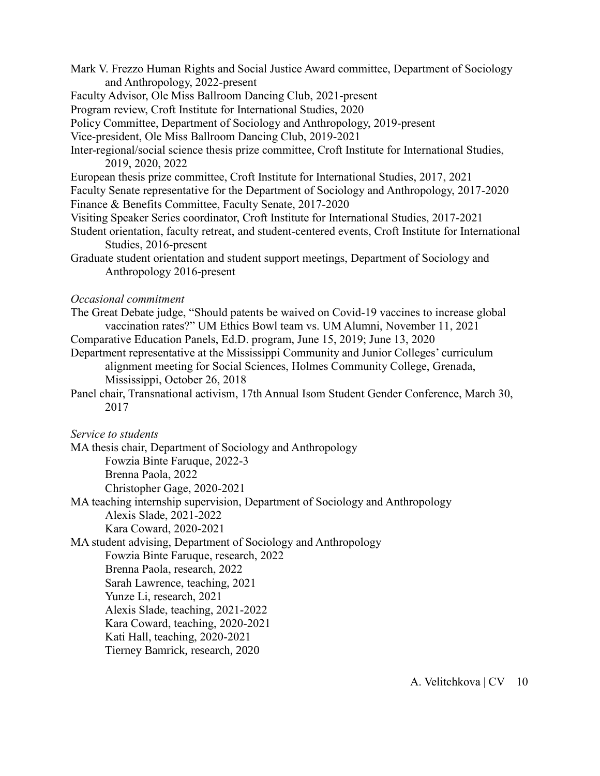- Mark V. Frezzo Human Rights and Social Justice Award committee, Department of Sociology and Anthropology, 2022-present
- Faculty Advisor, Ole Miss Ballroom Dancing Club, 2021-present
- Program review, Croft Institute for International Studies, 2020
- Policy Committee, Department of Sociology and Anthropology, 2019-present
- Vice-president, Ole Miss Ballroom Dancing Club, 2019-2021
- Inter-regional/social science thesis prize committee, Croft Institute for International Studies, 2019, 2020, 2022
- European thesis prize committee, Croft Institute for International Studies, 2017, 2021
- Faculty Senate representative for the Department of Sociology and Anthropology, 2017-2020 Finance & Benefits Committee, Faculty Senate, 2017-2020
- Visiting Speaker Series coordinator, Croft Institute for International Studies, 2017-2021
- Student orientation, faculty retreat, and student-centered events, Croft Institute for International Studies, 2016-present
- Graduate student orientation and student support meetings, Department of Sociology and Anthropology 2016-present

#### *Occasional commitment*

- The Great Debate judge, "Should patents be waived on Covid-19 vaccines to increase global vaccination rates?" UM Ethics Bowl team vs. UM Alumni, November 11, 2021
- Comparative Education Panels, Ed.D. program, June 15, 2019; June 13, 2020
- Department representative at the Mississippi Community and Junior Colleges' curriculum alignment meeting for Social Sciences, Holmes Community College, Grenada, Mississippi, October 26, 2018
- Panel chair, Transnational activism, 17th Annual Isom Student Gender Conference, March 30, 2017

*Service to students*

- MA thesis chair, Department of Sociology and Anthropology Fowzia Binte Faruque, 2022-3 Brenna Paola, 2022 Christopher Gage, 2020-2021
- MA teaching internship supervision, Department of Sociology and Anthropology Alexis Slade, 2021-2022 Kara Coward, 2020-2021
- MA student advising, Department of Sociology and Anthropology
	- Fowzia Binte Faruque, research, 2022
	- Brenna Paola, research, 2022
	- Sarah Lawrence, teaching, 2021
	- Yunze Li, research, 2021
	- Alexis Slade, teaching, 2021-2022
	- Kara Coward, teaching, 2020-2021
	- Kati Hall, teaching, 2020-2021
	- Tierney Bamrick, research, 2020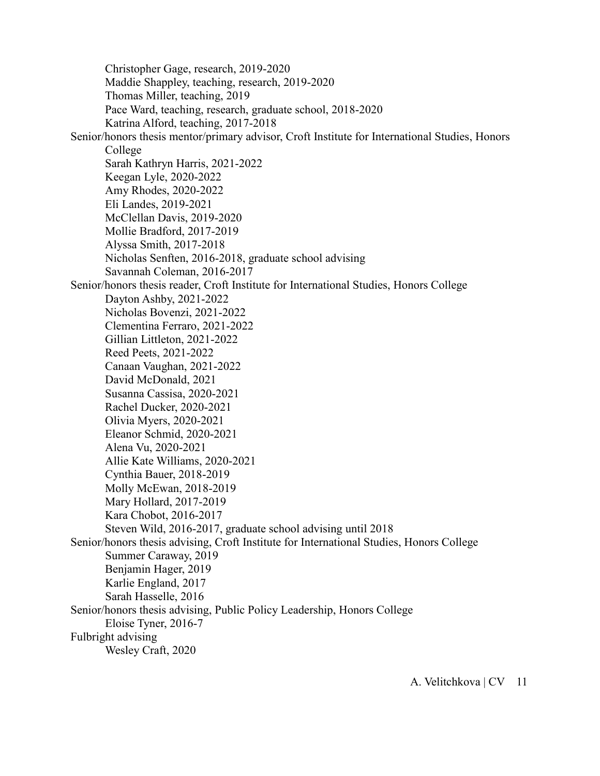Christopher Gage, research, 2019-2020 Maddie Shappley, teaching, research, 2019-2020 Thomas Miller, teaching, 2019 Pace Ward, teaching, research, graduate school, 2018-2020 Katrina Alford, teaching, 2017-2018 Senior/honors thesis mentor/primary advisor, Croft Institute for International Studies, Honors College Sarah Kathryn Harris, 2021-2022 Keegan Lyle, 2020-2022 Amy Rhodes, 2020-2022 Eli Landes, 2019-2021 McClellan Davis, 2019-2020 Mollie Bradford, 2017-2019 Alyssa Smith, 2017-2018 Nicholas Senften, 2016-2018, graduate school advising Savannah Coleman, 2016-2017 Senior/honors thesis reader, Croft Institute for International Studies, Honors College Dayton Ashby, 2021-2022 Nicholas Bovenzi, 2021-2022 Clementina Ferraro, 2021-2022 Gillian Littleton, 2021-2022 Reed Peets, 2021-2022 Canaan Vaughan, 2021-2022 David McDonald, 2021 Susanna Cassisa, 2020-2021 Rachel Ducker, 2020-2021 Olivia Myers, 2020-2021 Eleanor Schmid, 2020-2021 Alena Vu, 2020-2021 Allie Kate Williams, 2020-2021 Cynthia Bauer, 2018-2019 Molly McEwan, 2018-2019 Mary Hollard, 2017-2019 Kara Chobot, 2016-2017 Steven Wild, 2016-2017, graduate school advising until 2018 Senior/honors thesis advising, Croft Institute for International Studies, Honors College Summer Caraway, 2019 Benjamin Hager, 2019 Karlie England, 2017 Sarah Hasselle, 2016 Senior/honors thesis advising, Public Policy Leadership, Honors College Eloise Tyner, 2016-7 Fulbright advising Wesley Craft, 2020